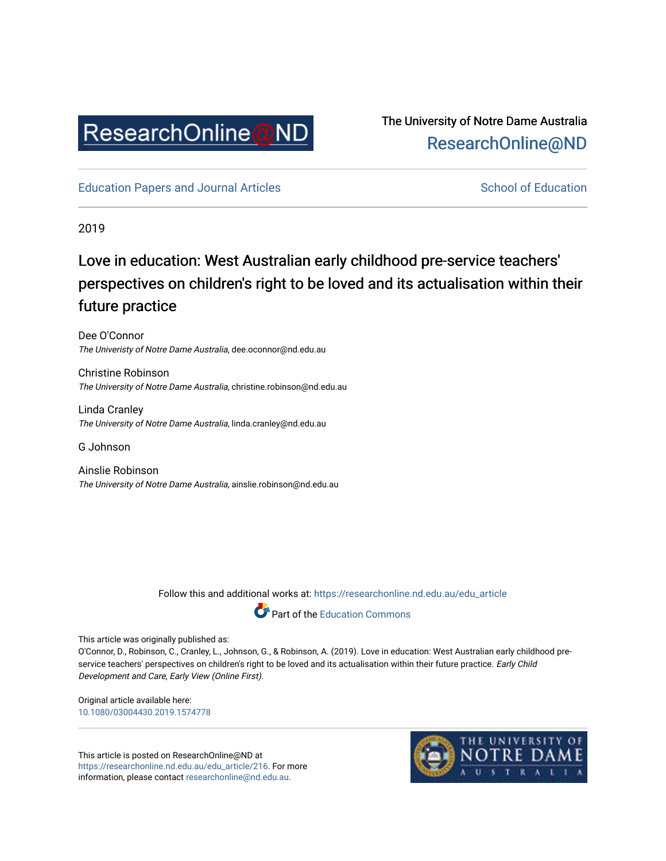

### The University of Notre Dame Australia [ResearchOnline@ND](https://researchonline.nd.edu.au/)

[Education Papers and Journal Articles](https://researchonline.nd.edu.au/edu_article) [School of Education](https://researchonline.nd.edu.au/edu) School of Education

2019

## Love in education: West Australian early childhood pre-service teachers' perspectives on children's right to be loved and its actualisation within their future practice

Dee O'Connor The Univeristy of Notre Dame Australia, dee.oconnor@nd.edu.au

Christine Robinson The University of Notre Dame Australia, christine.robinson@nd.edu.au

Linda Cranley The University of Notre Dame Australia, linda.cranley@nd.edu.au

G Johnson

Ainslie Robinson The University of Notre Dame Australia, ainslie.robinson@nd.edu.au

Follow this and additional works at: [https://researchonline.nd.edu.au/edu\\_article](https://researchonline.nd.edu.au/edu_article?utm_source=researchonline.nd.edu.au%2Fedu_article%2F216&utm_medium=PDF&utm_campaign=PDFCoverPages)



This article was originally published as:

O'Connor, D., Robinson, C., Cranley, L., Johnson, G., & Robinson, A. (2019). Love in education: West Australian early childhood preservice teachers' perspectives on children's right to be loved and its actualisation within their future practice. Early Child Development and Care, Early View (Online First).

Original article available here: [10.1080/03004430.2019.1574778](https://doi.org/10.1080/03004430.2019.1574778) 

This article is posted on ResearchOnline@ND at [https://researchonline.nd.edu.au/edu\\_article/216](https://researchonline.nd.edu.au/edu_article/216). For more information, please contact [researchonline@nd.edu.au.](mailto:researchonline@nd.edu.au)

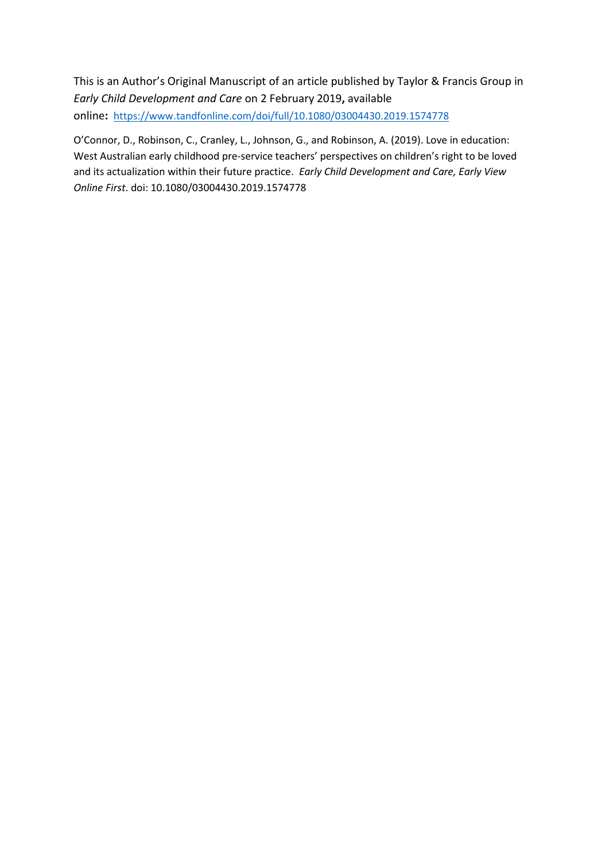This is an Author's Original Manuscript of an article published by Taylor & Francis Group in *Early Child Development and Care* on 2 February 2019**,** available online**:** <https://www.tandfonline.com/doi/full/10.1080/03004430.2019.1574778>

O'Connor, D., Robinson, C., Cranley, L., Johnson, G., and Robinson, A. (2019). Love in education: West Australian early childhood pre-service teachers' perspectives on children's right to be loved and its actualization within their future practice. *Early Child Development and Care, Early View Online First*. doi: 10.1080/03004430.2019.1574778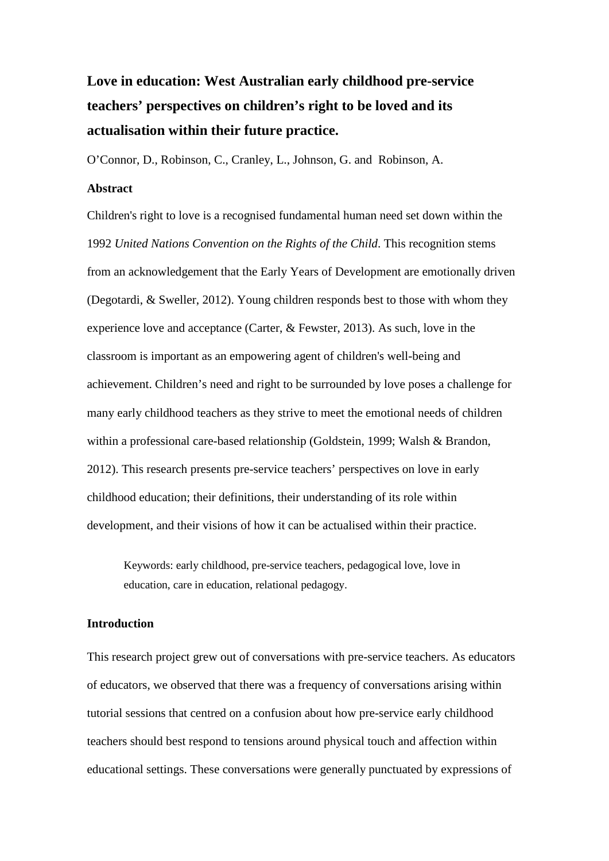# **Love in education: West Australian early childhood pre-service teachers' perspectives on children's right to be loved and its actualisation within their future practice.**

O'Connor, D., Robinson, C., Cranley, L., Johnson, G. and Robinson, A.

#### **Abstract**

Children's right to love is a recognised fundamental human need set down within the 1992 *United Nations Convention on the Rights of the Child*. This recognition stems from an acknowledgement that the Early Years of Development are emotionally driven (Degotardi, & Sweller, 2012). Young children responds best to those with whom they experience love and acceptance (Carter, & Fewster, 2013). As such, love in the classroom is important as an empowering agent of children's well-being and achievement. Children's need and right to be surrounded by love poses a challenge for many early childhood teachers as they strive to meet the emotional needs of children within a professional care-based relationship (Goldstein, 1999; Walsh & Brandon, 2012). This research presents pre-service teachers' perspectives on love in early childhood education; their definitions, their understanding of its role within development, and their visions of how it can be actualised within their practice.

Keywords: early childhood, pre-service teachers, pedagogical love, love in education, care in education, relational pedagogy.

#### **Introduction**

This research project grew out of conversations with pre-service teachers. As educators of educators, we observed that there was a frequency of conversations arising within tutorial sessions that centred on a confusion about how pre-service early childhood teachers should best respond to tensions around physical touch and affection within educational settings. These conversations were generally punctuated by expressions of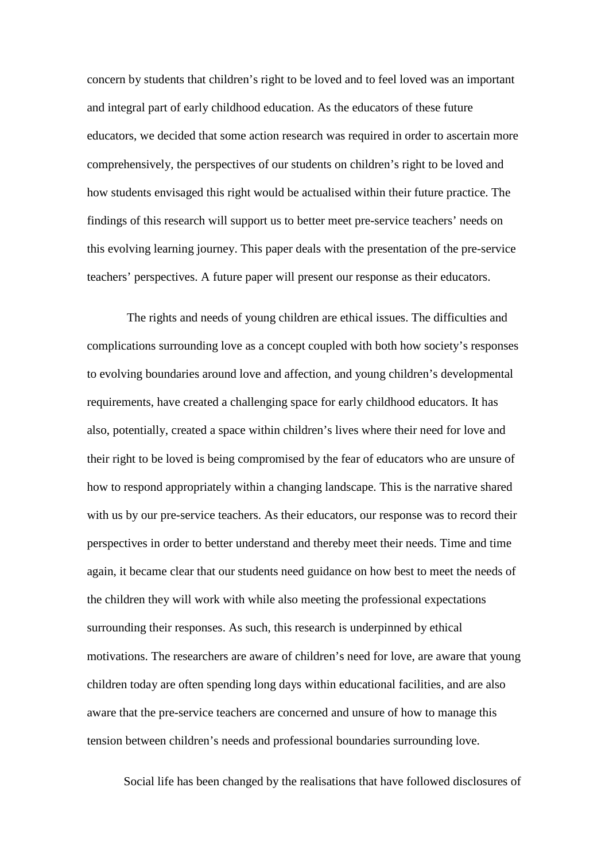concern by students that children's right to be loved and to feel loved was an important and integral part of early childhood education. As the educators of these future educators, we decided that some action research was required in order to ascertain more comprehensively, the perspectives of our students on children's right to be loved and how students envisaged this right would be actualised within their future practice. The findings of this research will support us to better meet pre-service teachers' needs on this evolving learning journey. This paper deals with the presentation of the pre-service teachers' perspectives. A future paper will present our response as their educators.

The rights and needs of young children are ethical issues. The difficulties and complications surrounding love as a concept coupled with both how society's responses to evolving boundaries around love and affection, and young children's developmental requirements, have created a challenging space for early childhood educators. It has also, potentially, created a space within children's lives where their need for love and their right to be loved is being compromised by the fear of educators who are unsure of how to respond appropriately within a changing landscape. This is the narrative shared with us by our pre-service teachers. As their educators, our response was to record their perspectives in order to better understand and thereby meet their needs. Time and time again, it became clear that our students need guidance on how best to meet the needs of the children they will work with while also meeting the professional expectations surrounding their responses. As such, this research is underpinned by ethical motivations. The researchers are aware of children's need for love, are aware that young children today are often spending long days within educational facilities, and are also aware that the pre-service teachers are concerned and unsure of how to manage this tension between children's needs and professional boundaries surrounding love.

Social life has been changed by the realisations that have followed disclosures of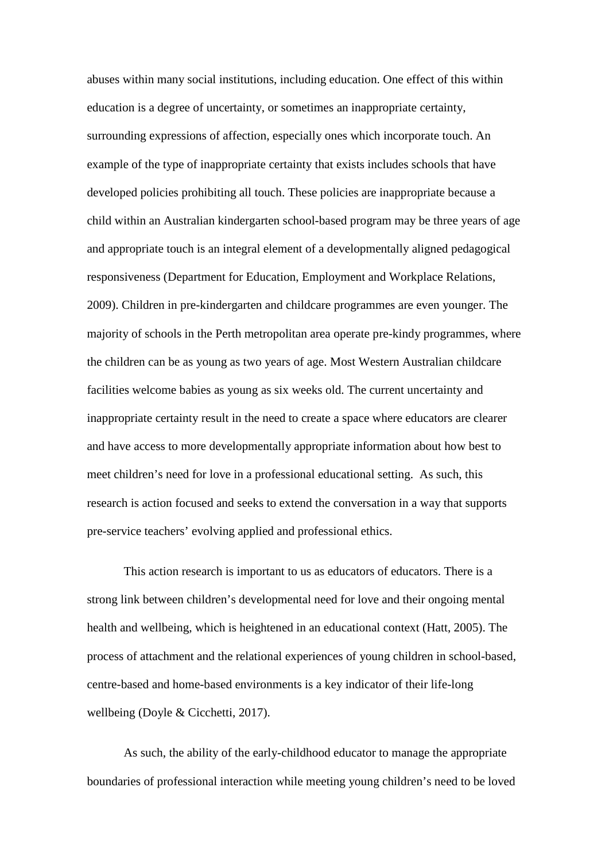abuses within many social institutions, including education. One effect of this within education is a degree of uncertainty, or sometimes an inappropriate certainty, surrounding expressions of affection, especially ones which incorporate touch. An example of the type of inappropriate certainty that exists includes schools that have developed policies prohibiting all touch. These policies are inappropriate because a child within an Australian kindergarten school-based program may be three years of age and appropriate touch is an integral element of a developmentally aligned pedagogical responsiveness (Department for Education, Employment and Workplace Relations, 2009). Children in pre-kindergarten and childcare programmes are even younger. The majority of schools in the Perth metropolitan area operate pre-kindy programmes, where the children can be as young as two years of age. Most Western Australian childcare facilities welcome babies as young as six weeks old. The current uncertainty and inappropriate certainty result in the need to create a space where educators are clearer and have access to more developmentally appropriate information about how best to meet children's need for love in a professional educational setting. As such, this research is action focused and seeks to extend the conversation in a way that supports pre-service teachers' evolving applied and professional ethics.

This action research is important to us as educators of educators. There is a strong link between children's developmental need for love and their ongoing mental health and wellbeing, which is heightened in an educational context (Hatt, 2005). The process of attachment and the relational experiences of young children in school-based, centre-based and home-based environments is a key indicator of their life-long wellbeing (Doyle & Cicchetti, 2017).

As such, the ability of the early-childhood educator to manage the appropriate boundaries of professional interaction while meeting young children's need to be loved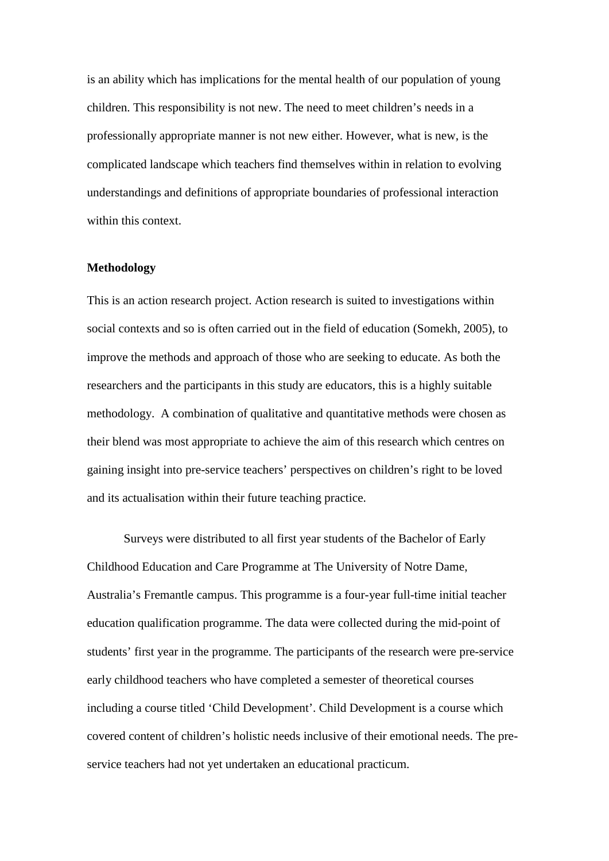is an ability which has implications for the mental health of our population of young children. This responsibility is not new. The need to meet children's needs in a professionally appropriate manner is not new either. However, what is new, is the complicated landscape which teachers find themselves within in relation to evolving understandings and definitions of appropriate boundaries of professional interaction within this context.

#### **Methodology**

This is an action research project. Action research is suited to investigations within social contexts and so is often carried out in the field of education (Somekh, 2005), to improve the methods and approach of those who are seeking to educate. As both the researchers and the participants in this study are educators, this is a highly suitable methodology. A combination of qualitative and quantitative methods were chosen as their blend was most appropriate to achieve the aim of this research which centres on gaining insight into pre-service teachers' perspectives on children's right to be loved and its actualisation within their future teaching practice.

Surveys were distributed to all first year students of the Bachelor of Early Childhood Education and Care Programme at The University of Notre Dame, Australia's Fremantle campus. This programme is a four-year full-time initial teacher education qualification programme. The data were collected during the mid-point of students' first year in the programme. The participants of the research were pre-service early childhood teachers who have completed a semester of theoretical courses including a course titled 'Child Development'. Child Development is a course which covered content of children's holistic needs inclusive of their emotional needs. The preservice teachers had not yet undertaken an educational practicum.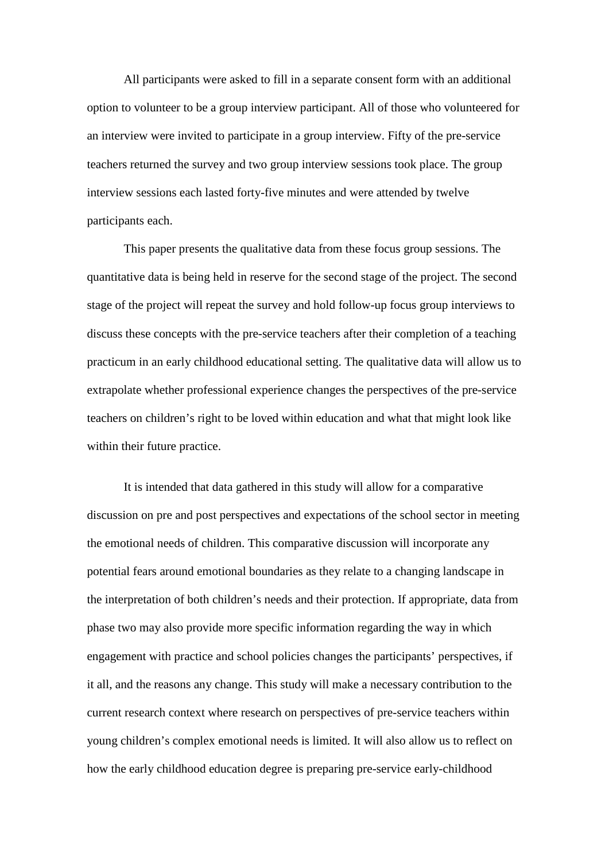All participants were asked to fill in a separate consent form with an additional option to volunteer to be a group interview participant. All of those who volunteered for an interview were invited to participate in a group interview. Fifty of the pre-service teachers returned the survey and two group interview sessions took place. The group interview sessions each lasted forty-five minutes and were attended by twelve participants each.

This paper presents the qualitative data from these focus group sessions. The quantitative data is being held in reserve for the second stage of the project. The second stage of the project will repeat the survey and hold follow-up focus group interviews to discuss these concepts with the pre-service teachers after their completion of a teaching practicum in an early childhood educational setting. The qualitative data will allow us to extrapolate whether professional experience changes the perspectives of the pre-service teachers on children's right to be loved within education and what that might look like within their future practice.

It is intended that data gathered in this study will allow for a comparative discussion on pre and post perspectives and expectations of the school sector in meeting the emotional needs of children. This comparative discussion will incorporate any potential fears around emotional boundaries as they relate to a changing landscape in the interpretation of both children's needs and their protection. If appropriate, data from phase two may also provide more specific information regarding the way in which engagement with practice and school policies changes the participants' perspectives, if it all, and the reasons any change. This study will make a necessary contribution to the current research context where research on perspectives of pre-service teachers within young children's complex emotional needs is limited. It will also allow us to reflect on how the early childhood education degree is preparing pre-service early-childhood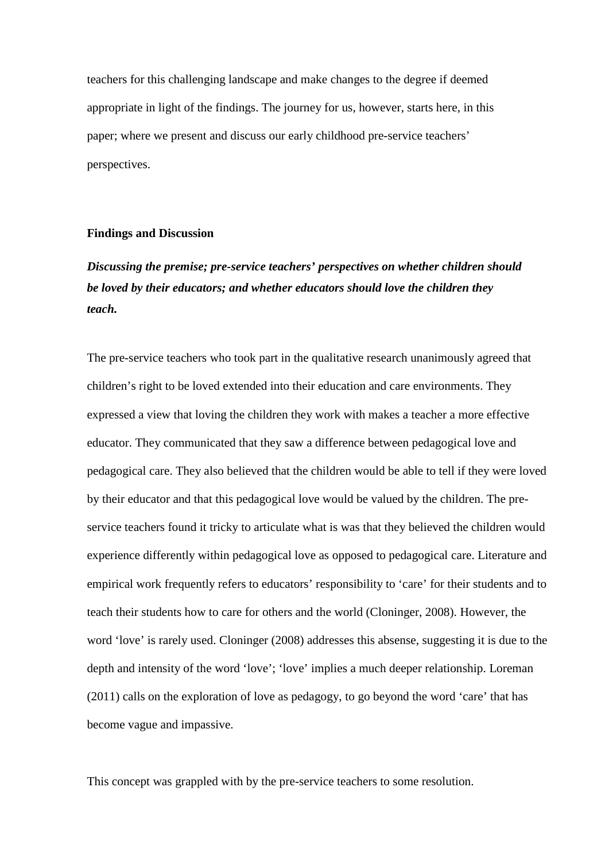teachers for this challenging landscape and make changes to the degree if deemed appropriate in light of the findings. The journey for us, however, starts here, in this paper; where we present and discuss our early childhood pre-service teachers' perspectives.

#### **Findings and Discussion**

## *Discussing the premise; pre-service teachers' perspectives on whether children should be loved by their educators; and whether educators should love the children they teach.*

The pre-service teachers who took part in the qualitative research unanimously agreed that children's right to be loved extended into their education and care environments. They expressed a view that loving the children they work with makes a teacher a more effective educator. They communicated that they saw a difference between pedagogical love and pedagogical care. They also believed that the children would be able to tell if they were loved by their educator and that this pedagogical love would be valued by the children. The preservice teachers found it tricky to articulate what is was that they believed the children would experience differently within pedagogical love as opposed to pedagogical care. Literature and empirical work frequently refers to educators' responsibility to 'care' for their students and to teach their students how to care for others and the world (Cloninger, 2008). However, the word 'love' is rarely used. Cloninger (2008) addresses this absense, suggesting it is due to the depth and intensity of the word 'love'; 'love' implies a much deeper relationship. Loreman (2011) calls on the exploration of love as pedagogy, to go beyond the word 'care' that has become vague and impassive.

This concept was grappled with by the pre-service teachers to some resolution.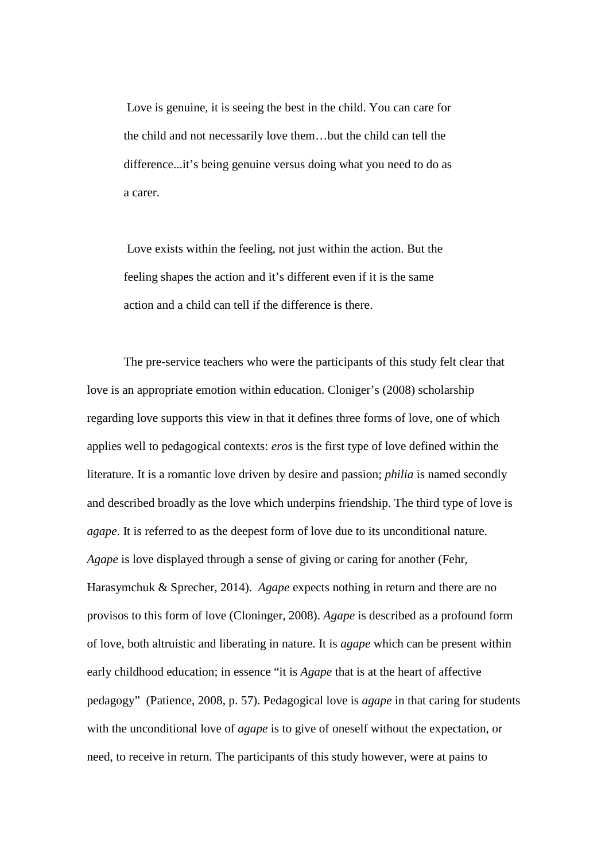Love is genuine, it is seeing the best in the child. You can care for the child and not necessarily love them…but the child can tell the difference...it's being genuine versus doing what you need to do as a carer.

Love exists within the feeling, not just within the action. But the feeling shapes the action and it's different even if it is the same action and a child can tell if the difference is there.

The pre-service teachers who were the participants of this study felt clear that love is an appropriate emotion within education. Cloniger's (2008) scholarship regarding love supports this view in that it defines three forms of love, one of which applies well to pedagogical contexts: *eros* is the first type of love defined within the literature. It is a romantic love driven by desire and passion; *philia* is named secondly and described broadly as the love which underpins friendship. The third type of love is *agape*. It is referred to as the deepest form of love due to its unconditional nature. *Agape* is love displayed through a sense of giving or caring for another (Fehr, Harasymchuk & Sprecher, 2014). *Agape* expects nothing in return and there are no provisos to this form of love (Cloninger, 2008). *Agape* is described as a profound form of love, both altruistic and liberating in nature. It is *agape* which can be present within early childhood education; in essence "it is *Agape* that is at the heart of affective pedagogy" (Patience, 2008, p. 57). Pedagogical love is *agape* in that caring for students with the unconditional love of *agape* is to give of oneself without the expectation, or need, to receive in return. The participants of this study however, were at pains to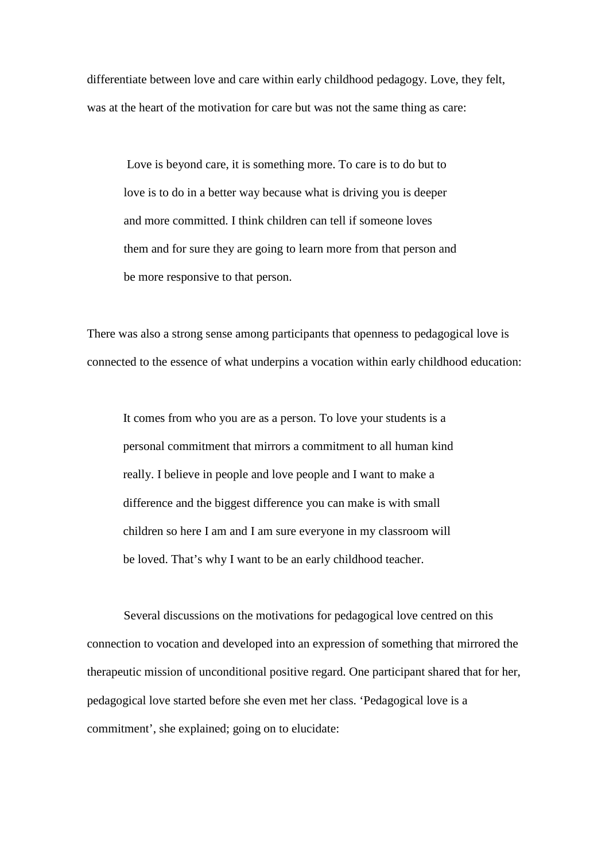differentiate between love and care within early childhood pedagogy. Love, they felt, was at the heart of the motivation for care but was not the same thing as care:

Love is beyond care, it is something more. To care is to do but to love is to do in a better way because what is driving you is deeper and more committed. I think children can tell if someone loves them and for sure they are going to learn more from that person and be more responsive to that person.

There was also a strong sense among participants that openness to pedagogical love is connected to the essence of what underpins a vocation within early childhood education:

It comes from who you are as a person. To love your students is a personal commitment that mirrors a commitment to all human kind really. I believe in people and love people and I want to make a difference and the biggest difference you can make is with small children so here I am and I am sure everyone in my classroom will be loved. That's why I want to be an early childhood teacher.

Several discussions on the motivations for pedagogical love centred on this connection to vocation and developed into an expression of something that mirrored the therapeutic mission of unconditional positive regard. One participant shared that for her, pedagogical love started before she even met her class. 'Pedagogical love is a commitment', she explained; going on to elucidate: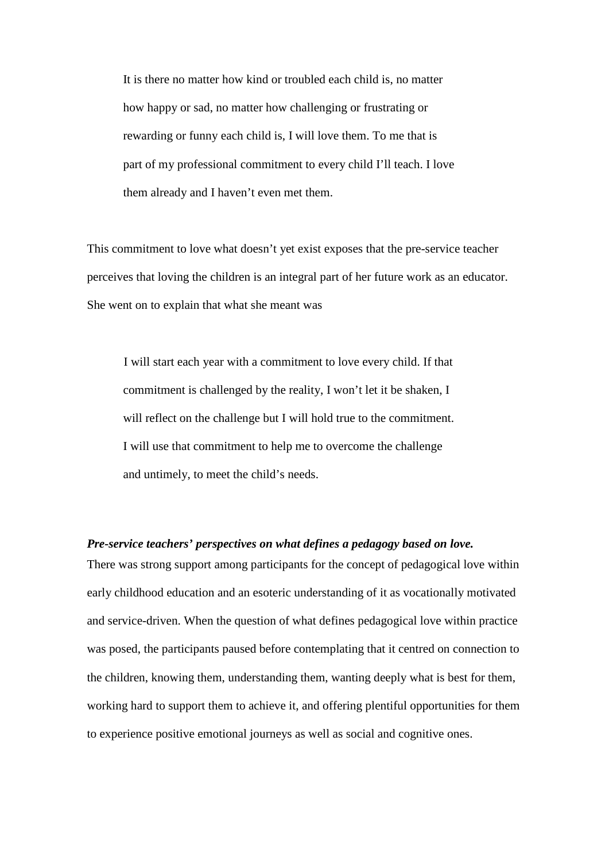It is there no matter how kind or troubled each child is, no matter how happy or sad, no matter how challenging or frustrating or rewarding or funny each child is, I will love them. To me that is part of my professional commitment to every child I'll teach. I love them already and I haven't even met them.

This commitment to love what doesn't yet exist exposes that the pre-service teacher perceives that loving the children is an integral part of her future work as an educator. She went on to explain that what she meant was

I will start each year with a commitment to love every child. If that commitment is challenged by the reality, I won't let it be shaken, I will reflect on the challenge but I will hold true to the commitment. I will use that commitment to help me to overcome the challenge and untimely, to meet the child's needs.

#### *Pre-service teachers' perspectives on what defines a pedagogy based on love.*

There was strong support among participants for the concept of pedagogical love within early childhood education and an esoteric understanding of it as vocationally motivated and service-driven. When the question of what defines pedagogical love within practice was posed, the participants paused before contemplating that it centred on connection to the children, knowing them, understanding them, wanting deeply what is best for them, working hard to support them to achieve it, and offering plentiful opportunities for them to experience positive emotional journeys as well as social and cognitive ones.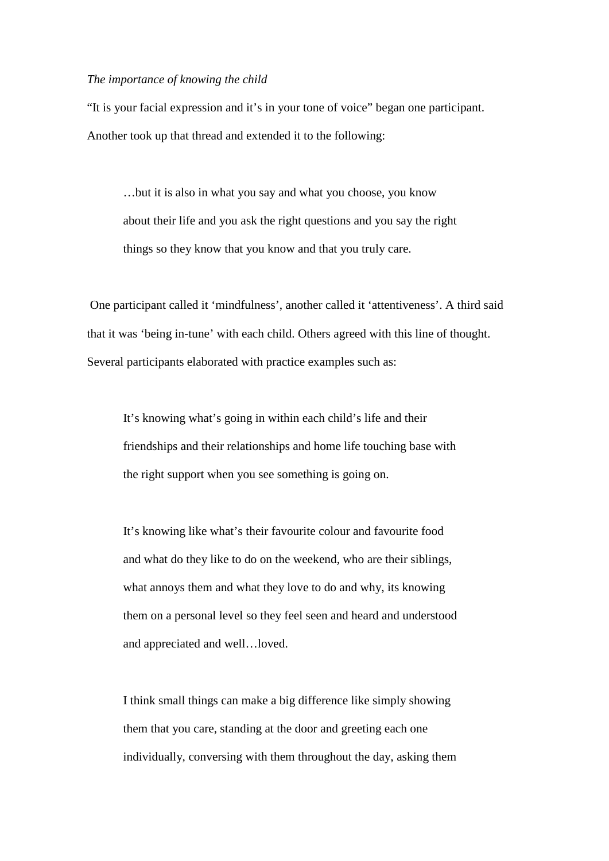#### *The importance of knowing the child*

"It is your facial expression and it's in your tone of voice" began one participant. Another took up that thread and extended it to the following:

…but it is also in what you say and what you choose, you know about their life and you ask the right questions and you say the right things so they know that you know and that you truly care.

One participant called it 'mindfulness', another called it 'attentiveness'. A third said that it was 'being in-tune' with each child. Others agreed with this line of thought. Several participants elaborated with practice examples such as:

It's knowing what's going in within each child's life and their friendships and their relationships and home life touching base with the right support when you see something is going on.

It's knowing like what's their favourite colour and favourite food and what do they like to do on the weekend, who are their siblings, what annoys them and what they love to do and why, its knowing them on a personal level so they feel seen and heard and understood and appreciated and well…loved.

I think small things can make a big difference like simply showing them that you care, standing at the door and greeting each one individually, conversing with them throughout the day, asking them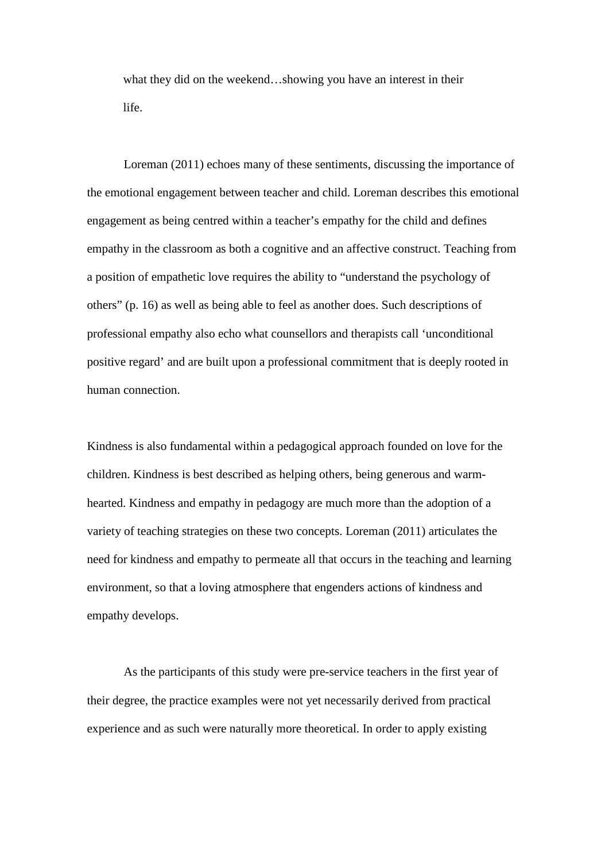what they did on the weekend…showing you have an interest in their life.

Loreman (2011) echoes many of these sentiments, discussing the importance of the emotional engagement between teacher and child. Loreman describes this emotional engagement as being centred within a teacher's empathy for the child and defines empathy in the classroom as both a cognitive and an affective construct. Teaching from a position of empathetic love requires the ability to "understand the psychology of others" (p. 16) as well as being able to feel as another does. Such descriptions of professional empathy also echo what counsellors and therapists call 'unconditional positive regard' and are built upon a professional commitment that is deeply rooted in human connection.

Kindness is also fundamental within a pedagogical approach founded on love for the children. Kindness is best described as helping others, being generous and warmhearted. Kindness and empathy in pedagogy are much more than the adoption of a variety of teaching strategies on these two concepts. Loreman (2011) articulates the need for kindness and empathy to permeate all that occurs in the teaching and learning environment, so that a loving atmosphere that engenders actions of kindness and empathy develops.

As the participants of this study were pre-service teachers in the first year of their degree, the practice examples were not yet necessarily derived from practical experience and as such were naturally more theoretical. In order to apply existing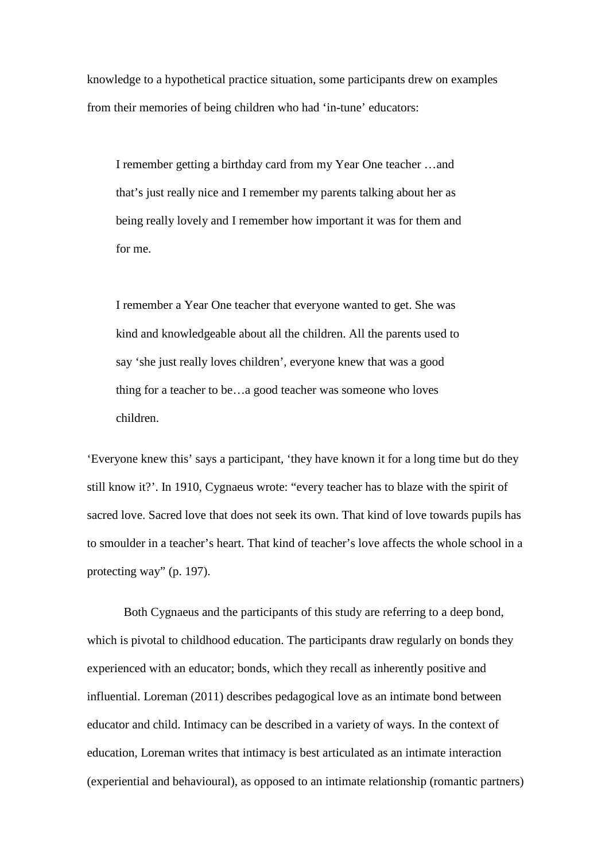knowledge to a hypothetical practice situation, some participants drew on examples from their memories of being children who had 'in-tune' educators:

I remember getting a birthday card from my Year One teacher …and that's just really nice and I remember my parents talking about her as being really lovely and I remember how important it was for them and for me.

I remember a Year One teacher that everyone wanted to get. She was kind and knowledgeable about all the children. All the parents used to say 'she just really loves children', everyone knew that was a good thing for a teacher to be…a good teacher was someone who loves children.

'Everyone knew this' says a participant, 'they have known it for a long time but do they still know it?'. In 1910, Cygnaeus wrote: "every teacher has to blaze with the spirit of sacred love. Sacred love that does not seek its own. That kind of love towards pupils has to smoulder in a teacher's heart. That kind of teacher's love affects the whole school in a protecting way" (p. 197).

Both Cygnaeus and the participants of this study are referring to a deep bond, which is pivotal to childhood education. The participants draw regularly on bonds they experienced with an educator; bonds, which they recall as inherently positive and influential. Loreman (2011) describes pedagogical love as an intimate bond between educator and child. Intimacy can be described in a variety of ways. In the context of education, Loreman writes that intimacy is best articulated as an intimate interaction (experiential and behavioural), as opposed to an intimate relationship (romantic partners)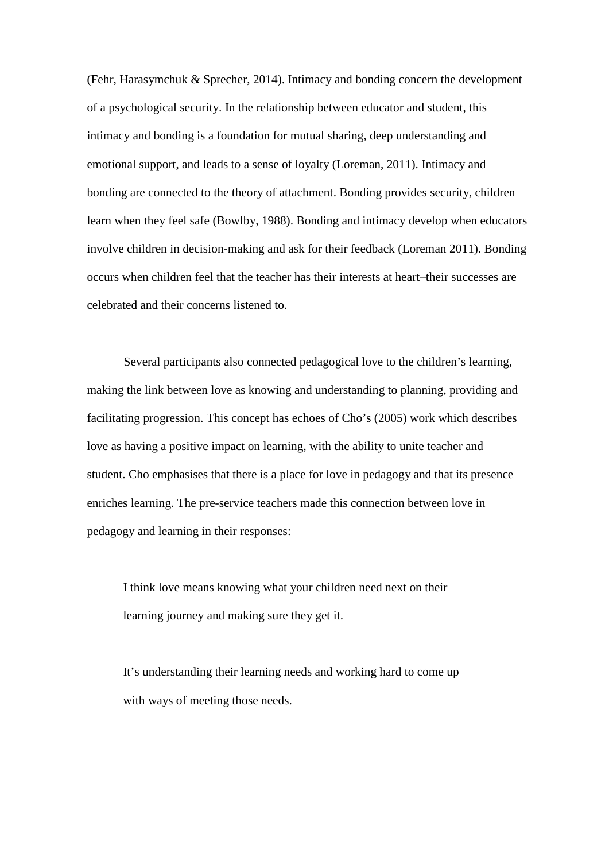(Fehr, Harasymchuk & Sprecher, 2014). Intimacy and bonding concern the development of a psychological security. In the relationship between educator and student, this intimacy and bonding is a foundation for mutual sharing, deep understanding and emotional support, and leads to a sense of loyalty (Loreman, 2011). Intimacy and bonding are connected to the theory of attachment. Bonding provides security, children learn when they feel safe (Bowlby, 1988). Bonding and intimacy develop when educators involve children in decision-making and ask for their feedback (Loreman 2011). Bonding occurs when children feel that the teacher has their interests at heart–their successes are celebrated and their concerns listened to.

Several participants also connected pedagogical love to the children's learning, making the link between love as knowing and understanding to planning, providing and facilitating progression. This concept has echoes of Cho's (2005) work which describes love as having a positive impact on learning, with the ability to unite teacher and student. Cho emphasises that there is a place for love in pedagogy and that its presence enriches learning. The pre-service teachers made this connection between love in pedagogy and learning in their responses:

I think love means knowing what your children need next on their learning journey and making sure they get it.

It's understanding their learning needs and working hard to come up with ways of meeting those needs.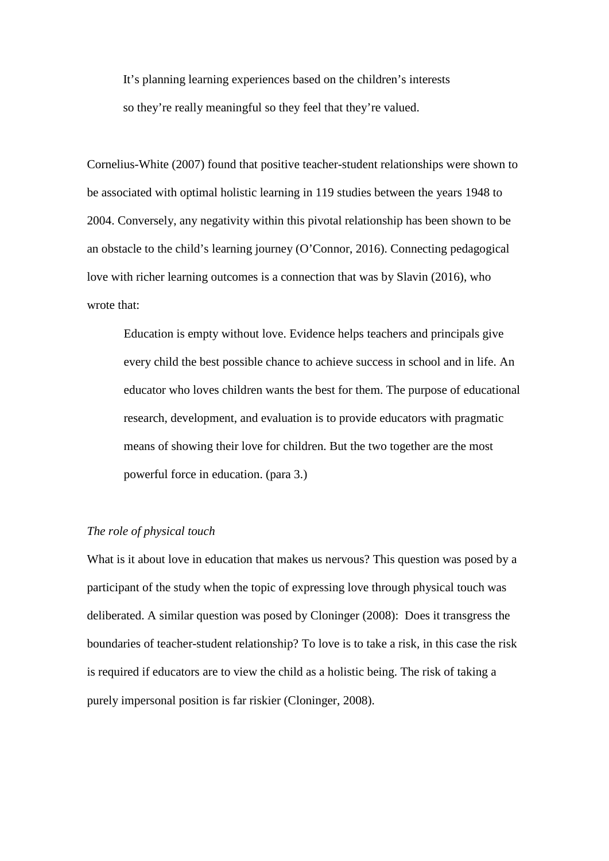It's planning learning experiences based on the children's interests so they're really meaningful so they feel that they're valued.

Cornelius-White (2007) found that positive teacher-student relationships were shown to be associated with optimal holistic learning in 119 studies between the years 1948 to 2004. Conversely, any negativity within this pivotal relationship has been shown to be an obstacle to the child's learning journey (O'Connor, 2016). Connecting pedagogical love with richer learning outcomes is a connection that was by Slavin (2016), who wrote that:

Education is empty without love. Evidence helps teachers and principals give every child the best possible chance to achieve success in school and in life. An educator who loves children wants the best for them. The purpose of educational research, development, and evaluation is to provide educators with pragmatic means of showing their love for children. But the two together are the most powerful force in education. (para 3.)

#### *The role of physical touch*

What is it about love in education that makes us nervous? This question was posed by a participant of the study when the topic of expressing love through physical touch was deliberated. A similar question was posed by Cloninger (2008): Does it transgress the boundaries of teacher-student relationship? To love is to take a risk, in this case the risk is required if educators are to view the child as a holistic being. The risk of taking a purely impersonal position is far riskier (Cloninger, 2008).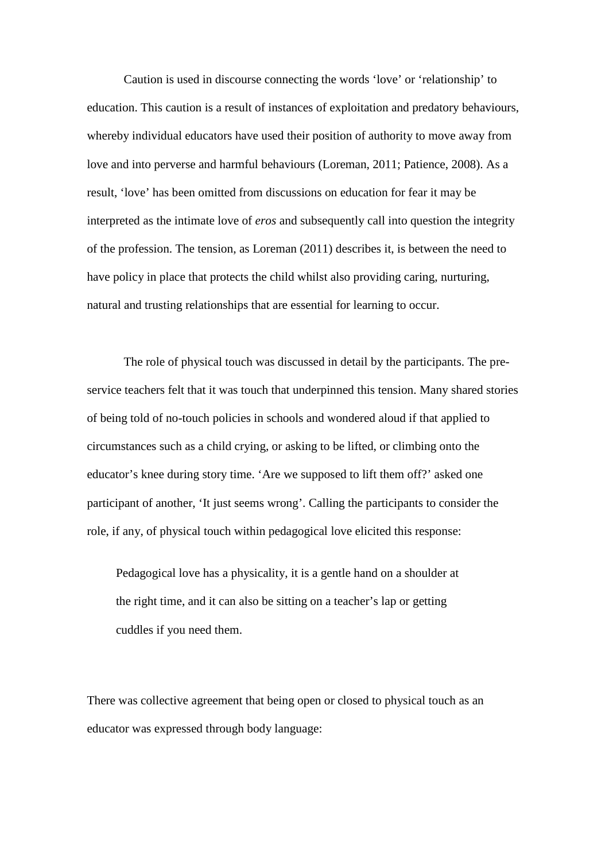Caution is used in discourse connecting the words 'love' or 'relationship' to education. This caution is a result of instances of exploitation and predatory behaviours, whereby individual educators have used their position of authority to move away from love and into perverse and harmful behaviours (Loreman, 2011; Patience, 2008). As a result, 'love' has been omitted from discussions on education for fear it may be interpreted as the intimate love of *eros* and subsequently call into question the integrity of the profession. The tension, as Loreman (2011) describes it, is between the need to have policy in place that protects the child whilst also providing caring, nurturing, natural and trusting relationships that are essential for learning to occur.

The role of physical touch was discussed in detail by the participants. The preservice teachers felt that it was touch that underpinned this tension. Many shared stories of being told of no-touch policies in schools and wondered aloud if that applied to circumstances such as a child crying, or asking to be lifted, or climbing onto the educator's knee during story time. 'Are we supposed to lift them off?' asked one participant of another, 'It just seems wrong'. Calling the participants to consider the role, if any, of physical touch within pedagogical love elicited this response:

Pedagogical love has a physicality, it is a gentle hand on a shoulder at the right time, and it can also be sitting on a teacher's lap or getting cuddles if you need them.

There was collective agreement that being open or closed to physical touch as an educator was expressed through body language: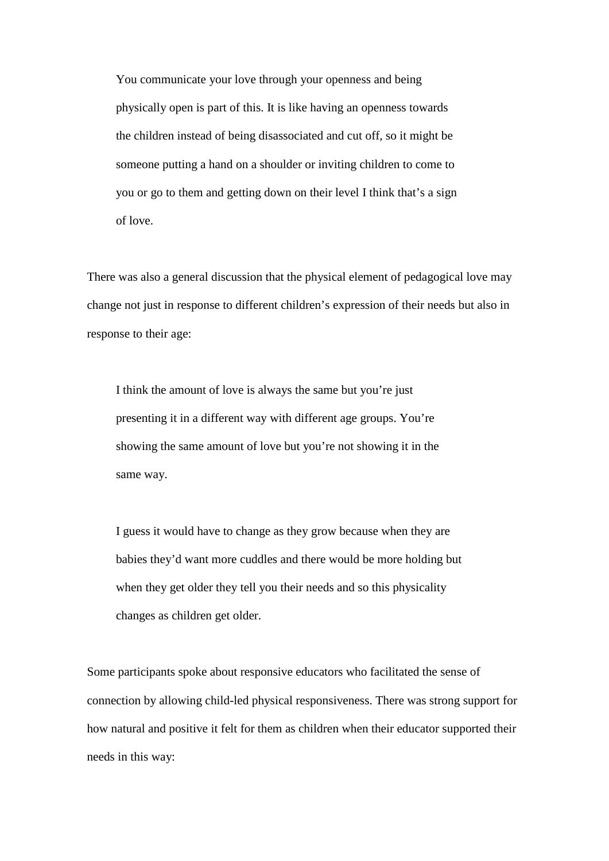You communicate your love through your openness and being physically open is part of this. It is like having an openness towards the children instead of being disassociated and cut off, so it might be someone putting a hand on a shoulder or inviting children to come to you or go to them and getting down on their level I think that's a sign of love.

There was also a general discussion that the physical element of pedagogical love may change not just in response to different children's expression of their needs but also in response to their age:

I think the amount of love is always the same but you're just presenting it in a different way with different age groups. You're showing the same amount of love but you're not showing it in the same way.

I guess it would have to change as they grow because when they are babies they'd want more cuddles and there would be more holding but when they get older they tell you their needs and so this physicality changes as children get older.

Some participants spoke about responsive educators who facilitated the sense of connection by allowing child-led physical responsiveness. There was strong support for how natural and positive it felt for them as children when their educator supported their needs in this way: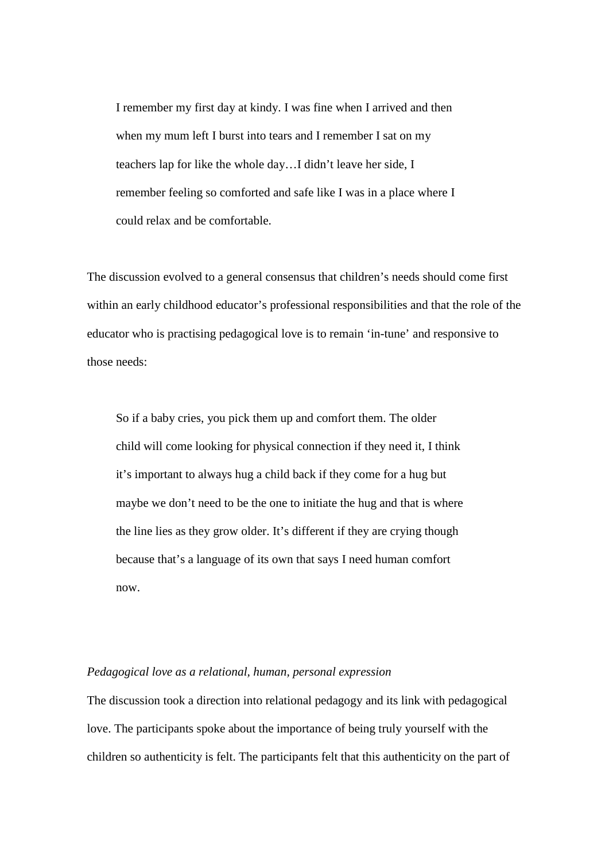I remember my first day at kindy. I was fine when I arrived and then when my mum left I burst into tears and I remember I sat on my teachers lap for like the whole day…I didn't leave her side, I remember feeling so comforted and safe like I was in a place where I could relax and be comfortable.

The discussion evolved to a general consensus that children's needs should come first within an early childhood educator's professional responsibilities and that the role of the educator who is practising pedagogical love is to remain 'in-tune' and responsive to those needs:

So if a baby cries, you pick them up and comfort them. The older child will come looking for physical connection if they need it, I think it's important to always hug a child back if they come for a hug but maybe we don't need to be the one to initiate the hug and that is where the line lies as they grow older. It's different if they are crying though because that's a language of its own that says I need human comfort now.

#### *Pedagogical love as a relational, human, personal expression*

The discussion took a direction into relational pedagogy and its link with pedagogical love. The participants spoke about the importance of being truly yourself with the children so authenticity is felt. The participants felt that this authenticity on the part of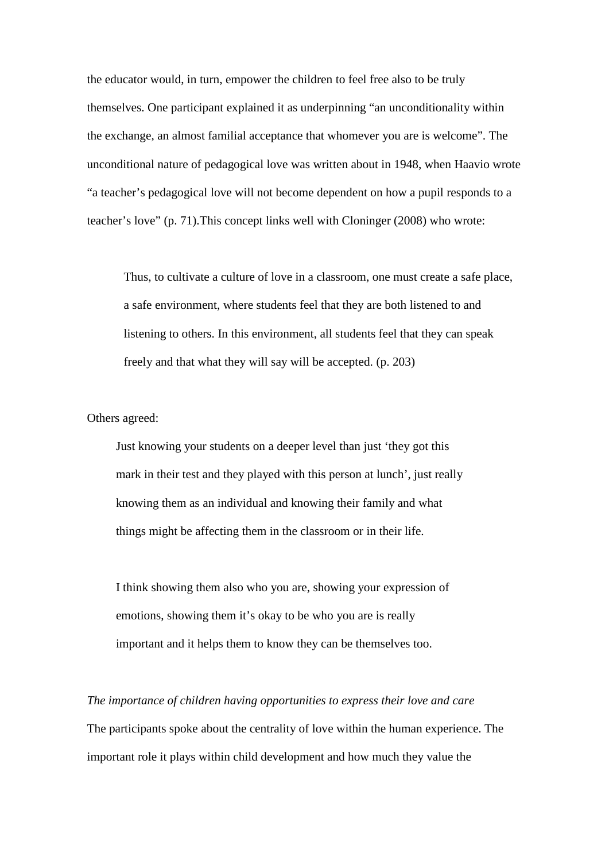the educator would, in turn, empower the children to feel free also to be truly themselves. One participant explained it as underpinning "an unconditionality within the exchange, an almost familial acceptance that whomever you are is welcome". The unconditional nature of pedagogical love was written about in 1948, when Haavio wrote "a teacher's pedagogical love will not become dependent on how a pupil responds to a teacher's love" (p. 71).This concept links well with Cloninger (2008) who wrote:

Thus, to cultivate a culture of love in a classroom, one must create a safe place, a safe environment, where students feel that they are both listened to and listening to others. In this environment, all students feel that they can speak freely and that what they will say will be accepted. (p. 203)

Others agreed:

Just knowing your students on a deeper level than just 'they got this mark in their test and they played with this person at lunch', just really knowing them as an individual and knowing their family and what things might be affecting them in the classroom or in their life.

I think showing them also who you are, showing your expression of emotions, showing them it's okay to be who you are is really important and it helps them to know they can be themselves too.

*The importance of children having opportunities to express their love and care* The participants spoke about the centrality of love within the human experience. The important role it plays within child development and how much they value the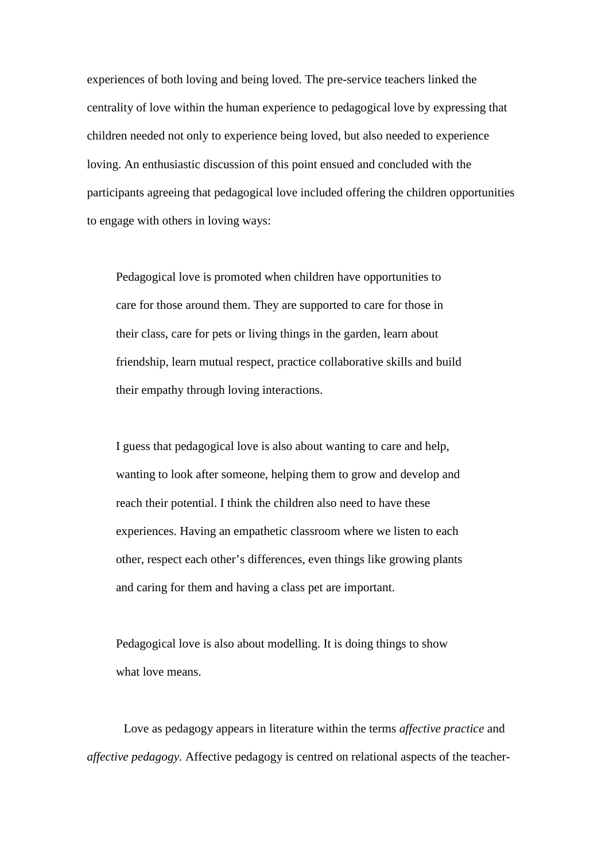experiences of both loving and being loved. The pre-service teachers linked the centrality of love within the human experience to pedagogical love by expressing that children needed not only to experience being loved, but also needed to experience loving. An enthusiastic discussion of this point ensued and concluded with the participants agreeing that pedagogical love included offering the children opportunities to engage with others in loving ways:

Pedagogical love is promoted when children have opportunities to care for those around them. They are supported to care for those in their class, care for pets or living things in the garden, learn about friendship, learn mutual respect, practice collaborative skills and build their empathy through loving interactions.

I guess that pedagogical love is also about wanting to care and help, wanting to look after someone, helping them to grow and develop and reach their potential. I think the children also need to have these experiences. Having an empathetic classroom where we listen to each other, respect each other's differences, even things like growing plants and caring for them and having a class pet are important.

Pedagogical love is also about modelling. It is doing things to show what love means.

Love as pedagogy appears in literature within the terms *affective practice* and *affective pedagogy.* Affective pedagogy is centred on relational aspects of the teacher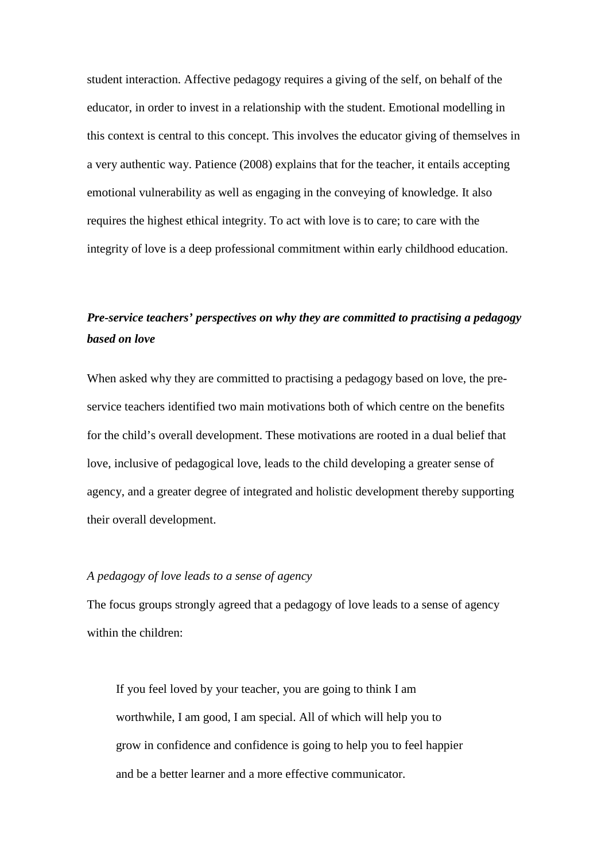student interaction. Affective pedagogy requires a giving of the self, on behalf of the educator, in order to invest in a relationship with the student. Emotional modelling in this context is central to this concept. This involves the educator giving of themselves in a very authentic way. Patience (2008) explains that for the teacher, it entails accepting emotional vulnerability as well as engaging in the conveying of knowledge. It also requires the highest ethical integrity. To act with love is to care; to care with the integrity of love is a deep professional commitment within early childhood education.

### *Pre-service teachers' perspectives on why they are committed to practising a pedagogy based on love*

When asked why they are committed to practising a pedagogy based on love, the preservice teachers identified two main motivations both of which centre on the benefits for the child's overall development. These motivations are rooted in a dual belief that love, inclusive of pedagogical love, leads to the child developing a greater sense of agency, and a greater degree of integrated and holistic development thereby supporting their overall development.

#### *A pedagogy of love leads to a sense of agency*

The focus groups strongly agreed that a pedagogy of love leads to a sense of agency within the children:

If you feel loved by your teacher, you are going to think I am worthwhile, I am good, I am special. All of which will help you to grow in confidence and confidence is going to help you to feel happier and be a better learner and a more effective communicator.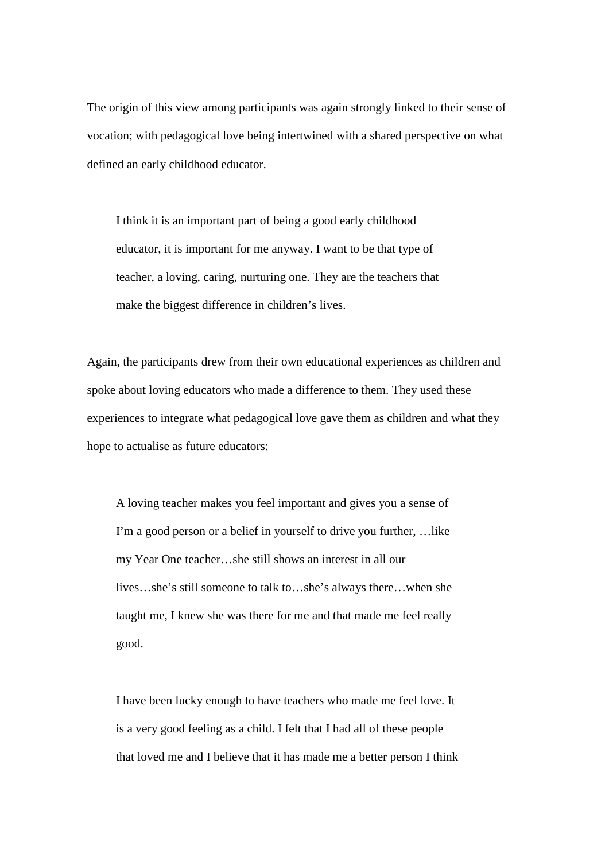The origin of this view among participants was again strongly linked to their sense of vocation; with pedagogical love being intertwined with a shared perspective on what defined an early childhood educator.

I think it is an important part of being a good early childhood educator, it is important for me anyway. I want to be that type of teacher, a loving, caring, nurturing one. They are the teachers that make the biggest difference in children's lives.

Again, the participants drew from their own educational experiences as children and spoke about loving educators who made a difference to them. They used these experiences to integrate what pedagogical love gave them as children and what they hope to actualise as future educators:

A loving teacher makes you feel important and gives you a sense of I'm a good person or a belief in yourself to drive you further, …like my Year One teacher…she still shows an interest in all our lives…she's still someone to talk to…she's always there…when she taught me, I knew she was there for me and that made me feel really good.

I have been lucky enough to have teachers who made me feel love. It is a very good feeling as a child. I felt that I had all of these people that loved me and I believe that it has made me a better person I think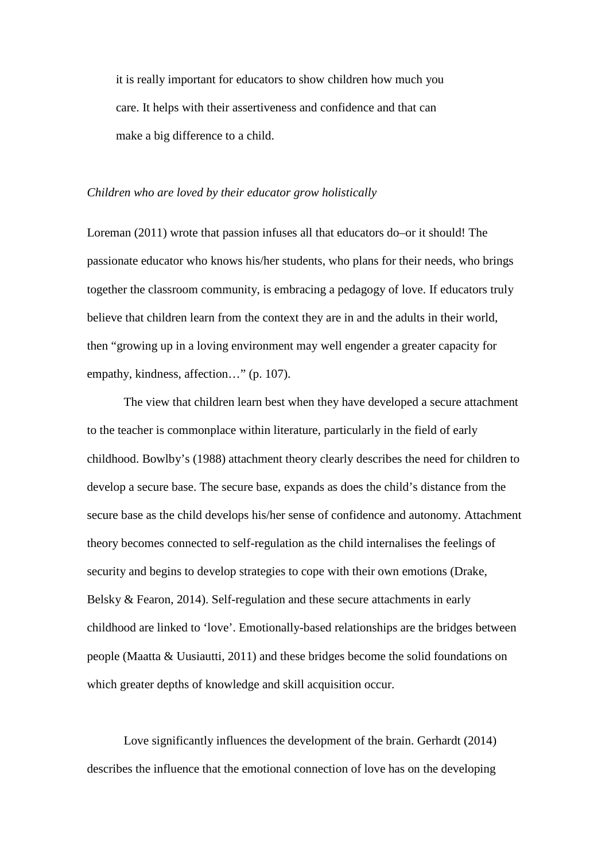it is really important for educators to show children how much you care. It helps with their assertiveness and confidence and that can make a big difference to a child.

#### *Children who are loved by their educator grow holistically*

Loreman (2011) wrote that passion infuses all that educators do–or it should! The passionate educator who knows his/her students, who plans for their needs, who brings together the classroom community, is embracing a pedagogy of love. If educators truly believe that children learn from the context they are in and the adults in their world, then "growing up in a loving environment may well engender a greater capacity for empathy, kindness, affection…" (p. 107).

The view that children learn best when they have developed a secure attachment to the teacher is commonplace within literature, particularly in the field of early childhood. Bowlby's (1988) attachment theory clearly describes the need for children to develop a secure base. The secure base, expands as does the child's distance from the secure base as the child develops his/her sense of confidence and autonomy. Attachment theory becomes connected to self-regulation as the child internalises the feelings of security and begins to develop strategies to cope with their own emotions (Drake, Belsky & Fearon, 2014). Self-regulation and these secure attachments in early childhood are linked to 'love'. Emotionally-based relationships are the bridges between people (Maatta & Uusiautti, 2011) and these bridges become the solid foundations on which greater depths of knowledge and skill acquisition occur.

Love significantly influences the development of the brain. Gerhardt (2014) describes the influence that the emotional connection of love has on the developing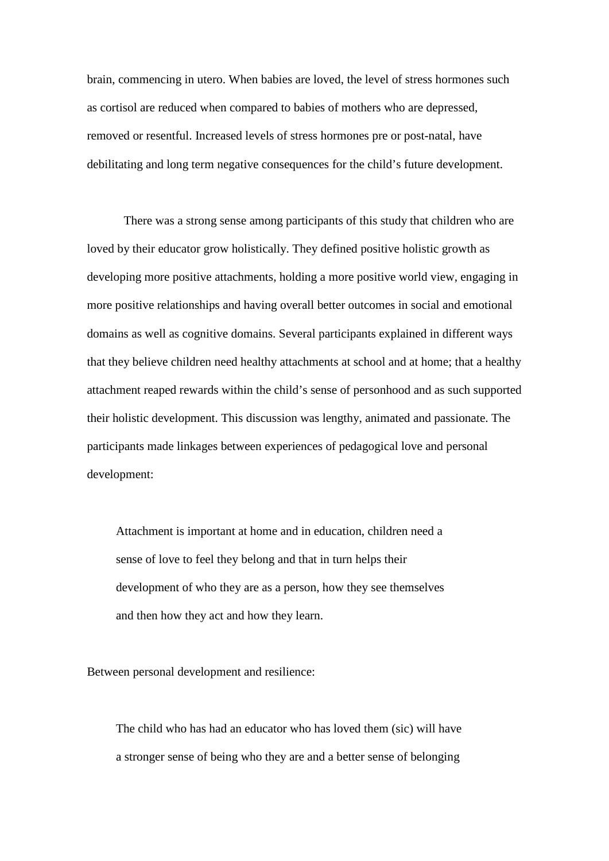brain, commencing in utero. When babies are loved, the level of stress hormones such as cortisol are reduced when compared to babies of mothers who are depressed, removed or resentful. Increased levels of stress hormones pre or post-natal, have debilitating and long term negative consequences for the child's future development.

There was a strong sense among participants of this study that children who are loved by their educator grow holistically. They defined positive holistic growth as developing more positive attachments, holding a more positive world view, engaging in more positive relationships and having overall better outcomes in social and emotional domains as well as cognitive domains. Several participants explained in different ways that they believe children need healthy attachments at school and at home; that a healthy attachment reaped rewards within the child's sense of personhood and as such supported their holistic development. This discussion was lengthy, animated and passionate. The participants made linkages between experiences of pedagogical love and personal development:

Attachment is important at home and in education, children need a sense of love to feel they belong and that in turn helps their development of who they are as a person, how they see themselves and then how they act and how they learn.

Between personal development and resilience:

The child who has had an educator who has loved them (sic) will have a stronger sense of being who they are and a better sense of belonging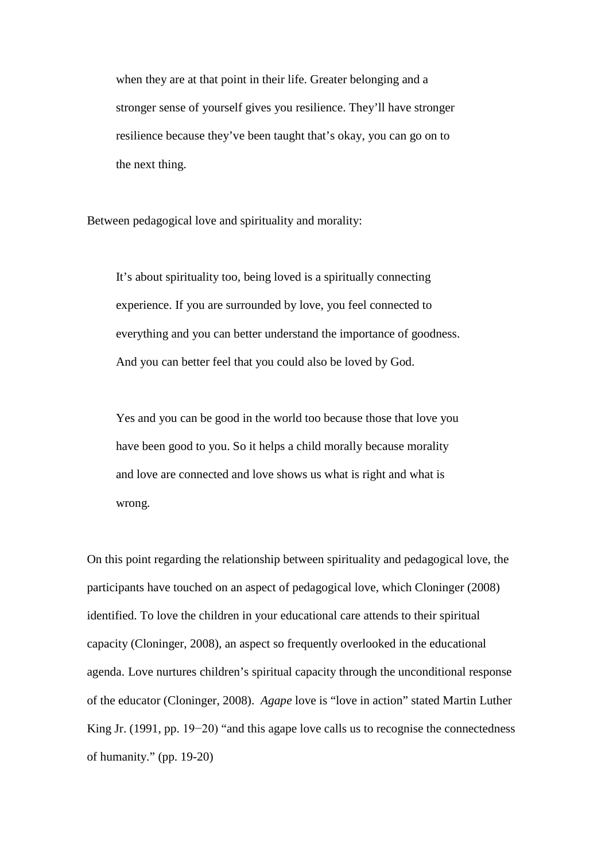when they are at that point in their life. Greater belonging and a stronger sense of yourself gives you resilience. They'll have stronger resilience because they've been taught that's okay, you can go on to the next thing.

Between pedagogical love and spirituality and morality:

It's about spirituality too, being loved is a spiritually connecting experience. If you are surrounded by love, you feel connected to everything and you can better understand the importance of goodness. And you can better feel that you could also be loved by God.

Yes and you can be good in the world too because those that love you have been good to you. So it helps a child morally because morality and love are connected and love shows us what is right and what is wrong*.* 

On this point regarding the relationship between spirituality and pedagogical love, the participants have touched on an aspect of pedagogical love, which Cloninger (2008) identified. To love the children in your educational care attends to their spiritual capacity (Cloninger, 2008), an aspect so frequently overlooked in the educational agenda. Love nurtures children's spiritual capacity through the unconditional response of the educator (Cloninger, 2008). *Agape* love is "love in action" stated Martin Luther King Jr. (1991, pp. 19−20) "and this agape love calls us to recognise the connectedness of humanity." (pp. 19-20)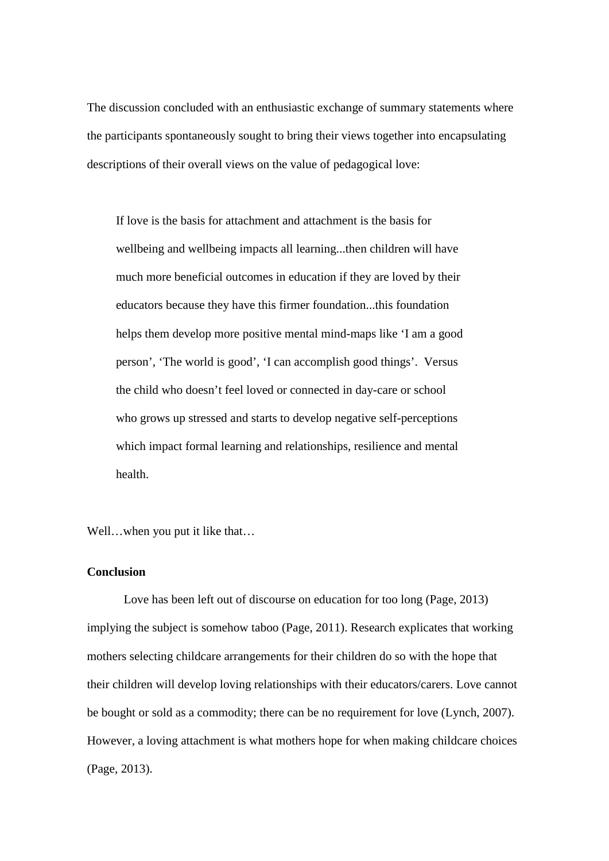The discussion concluded with an enthusiastic exchange of summary statements where the participants spontaneously sought to bring their views together into encapsulating descriptions of their overall views on the value of pedagogical love:

If love is the basis for attachment and attachment is the basis for wellbeing and wellbeing impacts all learning...then children will have much more beneficial outcomes in education if they are loved by their educators because they have this firmer foundation...this foundation helps them develop more positive mental mind-maps like 'I am a good person', 'The world is good', 'I can accomplish good things'. Versus the child who doesn't feel loved or connected in day-care or school who grows up stressed and starts to develop negative self-perceptions which impact formal learning and relationships, resilience and mental health.

Well...when you put it like that...

#### **Conclusion**

Love has been left out of discourse on education for too long (Page, 2013) implying the subject is somehow taboo (Page, 2011). Research explicates that working mothers selecting childcare arrangements for their children do so with the hope that their children will develop loving relationships with their educators/carers. Love cannot be bought or sold as a commodity; there can be no requirement for love (Lynch, 2007). However, a loving attachment is what mothers hope for when making childcare choices (Page, 2013).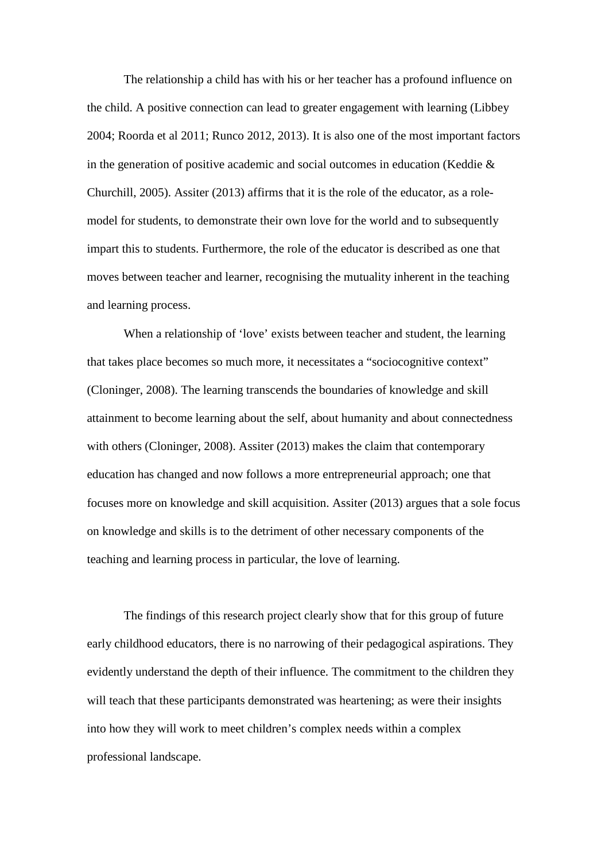The relationship a child has with his or her teacher has a profound influence on the child. A positive connection can lead to greater engagement with learning (Libbey 2004; Roorda et al 2011; Runco 2012, 2013). It is also one of the most important factors in the generation of positive academic and social outcomes in education (Keddie & Churchill, 2005). Assiter (2013) affirms that it is the role of the educator, as a rolemodel for students, to demonstrate their own love for the world and to subsequently impart this to students. Furthermore, the role of the educator is described as one that moves between teacher and learner, recognising the mutuality inherent in the teaching and learning process.

When a relationship of 'love' exists between teacher and student, the learning that takes place becomes so much more, it necessitates a "sociocognitive context" (Cloninger, 2008). The learning transcends the boundaries of knowledge and skill attainment to become learning about the self, about humanity and about connectedness with others (Cloninger, 2008). Assiter (2013) makes the claim that contemporary education has changed and now follows a more entrepreneurial approach; one that focuses more on knowledge and skill acquisition. Assiter (2013) argues that a sole focus on knowledge and skills is to the detriment of other necessary components of the teaching and learning process in particular, the love of learning.

The findings of this research project clearly show that for this group of future early childhood educators, there is no narrowing of their pedagogical aspirations. They evidently understand the depth of their influence. The commitment to the children they will teach that these participants demonstrated was heartening; as were their insights into how they will work to meet children's complex needs within a complex professional landscape.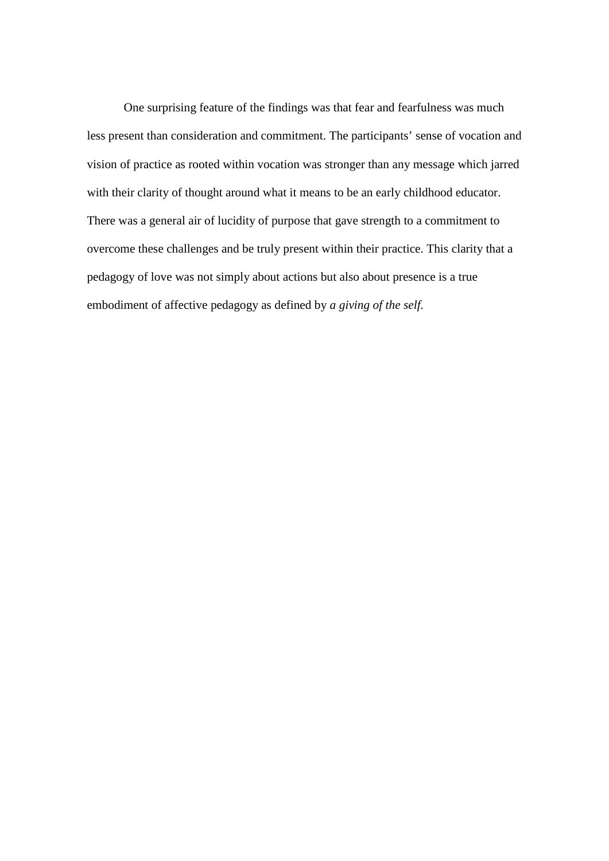One surprising feature of the findings was that fear and fearfulness was much less present than consideration and commitment. The participants' sense of vocation and vision of practice as rooted within vocation was stronger than any message which jarred with their clarity of thought around what it means to be an early childhood educator. There was a general air of lucidity of purpose that gave strength to a commitment to overcome these challenges and be truly present within their practice. This clarity that a pedagogy of love was not simply about actions but also about presence is a true embodiment of affective pedagogy as defined by *a giving of the self.*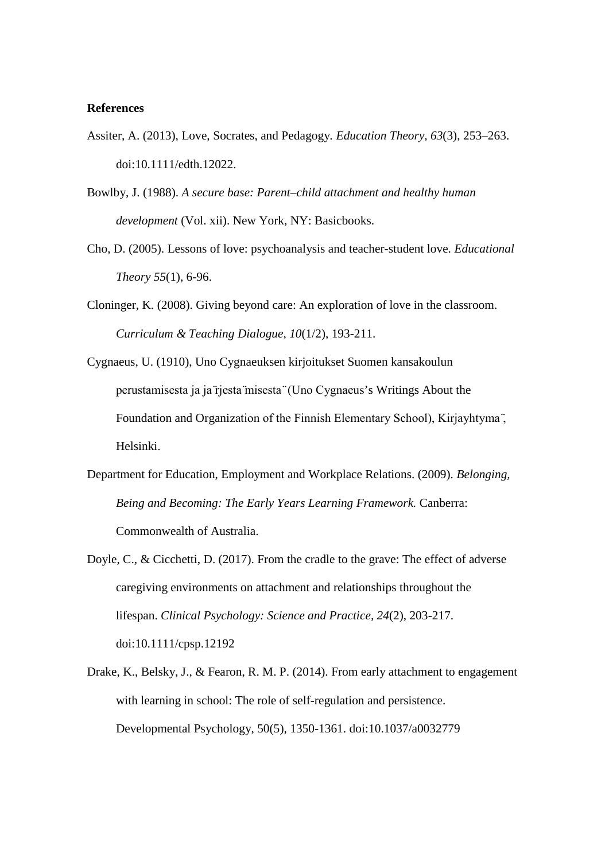#### **References**

- Assiter, A. (2013), Love, Socrates, and Pedagogy*. Education Theory, 63*(3), 253–263. doi:10.1111/edth.12022.
- Bowlby, J. (1988). *A secure base: Parent–child attachment and healthy human development* (Vol. xii). New York, NY: Basicbooks.
- Cho, D. (2005). Lessons of love: psychoanalysis and teacher-student love. *Educational Theory 55*(1), 6-96.
- Cloninger, K. (2008). Giving beyond care: An exploration of love in the classroom. *Curriculum & Teaching Dialogue*, *10*(1/2), 193-211.
- Cygnaeus, U. (1910), Uno Cygnaeuksen kirjoitukset Suomen kansakoulun perustamisesta ja ja ̈rjesta ̈misesta ̈ (Uno Cygnaeus's Writings About the Foundation and Organization of the Finnish Elementary School), Kirjayhtyma ̈, Helsinki.
- Department for Education, Employment and Workplace Relations. (2009). *Belonging, Being and Becoming: The Early Years Learning Framework.* Canberra: Commonwealth of Australia.
- Doyle, C., & Cicchetti, D. (2017). From the cradle to the grave: The effect of adverse caregiving environments on attachment and relationships throughout the lifespan. *Clinical Psychology: Science and Practice, 24*(2), 203-217. doi:10.1111/cpsp.12192
- Drake, K., Belsky, J., & Fearon, R. M. P. (2014). From early attachment to engagement with learning in school: The role of self-regulation and persistence. Developmental Psychology, 50(5), 1350-1361. doi:10.1037/a0032779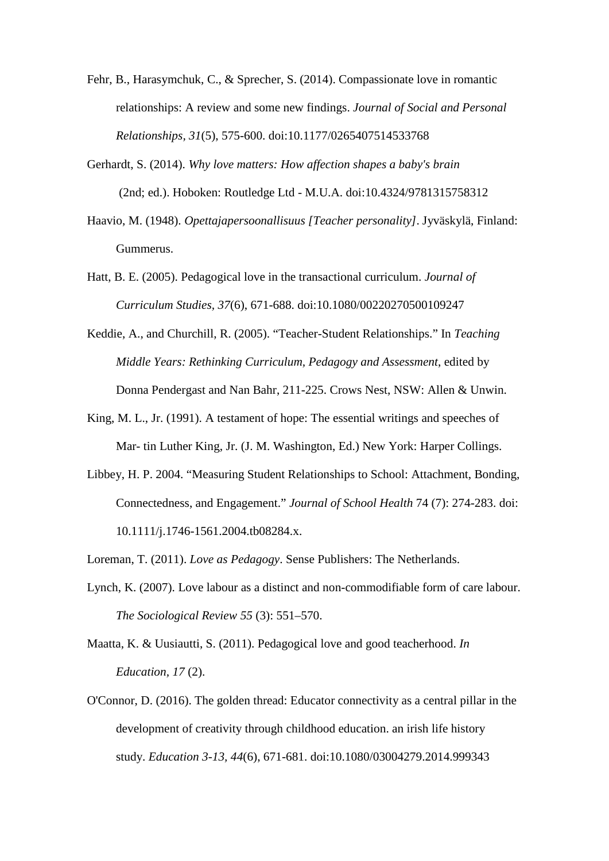- Fehr, B., Harasymchuk, C., & Sprecher, S. (2014). Compassionate love in romantic relationships: A review and some new findings. *Journal of Social and Personal Relationships, 31*(5), 575-600. doi:10.1177/0265407514533768
- Gerhardt, S. (2014). *Why love matters: How affection shapes a baby's brain* (2nd; ed.). Hoboken: Routledge Ltd - M.U.A. doi:10.4324/9781315758312
- Haavio, M. (1948). *Opettajapersoonallisuus [Teacher personality]*. Jyväskylä, Finland: Gummerus.
- Hatt, B. E. (2005). Pedagogical love in the transactional curriculum. *Journal of Curriculum Studies, 37*(6), 671-688. doi:10.1080/00220270500109247
- Keddie, A., and Churchill, R. (2005). "Teacher-Student Relationships." In *Teaching Middle Years: Rethinking Curriculum, Pedagogy and Assessment*, edited by Donna Pendergast and Nan Bahr, 211-225. Crows Nest, NSW: Allen & Unwin.
- King, M. L., Jr. (1991). A testament of hope: The essential writings and speeches of Mar- tin Luther King, Jr. (J. M. Washington, Ed.) New York: Harper Collings.
- Libbey, H. P. 2004. "Measuring Student Relationships to School: Attachment, Bonding, Connectedness, and Engagement." *Journal of School Health* 74 (7): 274-283. doi: 10.1111/j.1746-1561.2004.tb08284.x.
- Loreman, T. (2011). *Love as Pedagogy*. Sense Publishers: The Netherlands.
- Lynch, K. (2007). Love labour as a distinct and non-commodifiable form of care labour. *The Sociological Review 55* (3): 551–570.
- Maatta, K. & Uusiautti, S. (2011). Pedagogical love and good teacherhood. *In Education, 17* (2).
- O'Connor, D. (2016). The golden thread: Educator connectivity as a central pillar in the development of creativity through childhood education. an irish life history study. *Education 3-13, 44*(6), 671-681. doi:10.1080/03004279.2014.999343